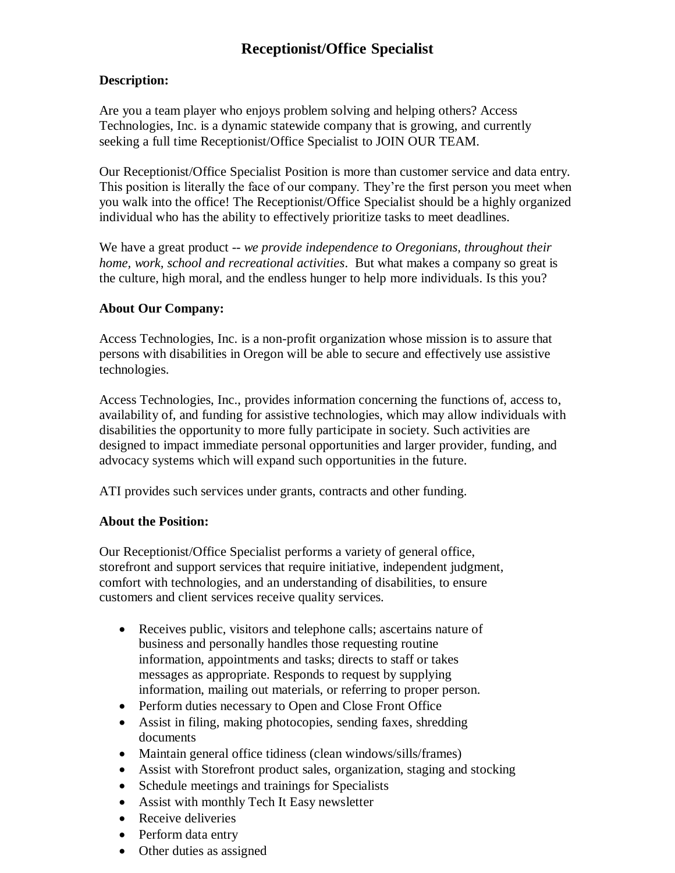# **Receptionist/Office Specialist**

## **Description:**

Are you a team player who enjoys problem solving and helping others? Access Technologies, Inc. is a dynamic statewide company that is growing, and currently seeking a full time Receptionist/Office Specialist to JOIN OUR TEAM.

Our Receptionist/Office Specialist Position is more than customer service and data entry. This position is literally the face of our company. They're the first person you meet when you walk into the office! The Receptionist/Office Specialist should be a highly organized individual who has the ability to effectively prioritize tasks to meet deadlines.

We have a great product -- *we provide independence to Oregonians, throughout their home, work, school and recreational activities*. But what makes a company so great is the culture, high moral, and the endless hunger to help more individuals. Is this you?

## **About Our Company:**

Access Technologies, Inc. is a non-profit organization whose mission is to assure that persons with disabilities in Oregon will be able to secure and effectively use assistive technologies.

Access Technologies, Inc., provides information concerning the functions of, access to, availability of, and funding for assistive technologies, which may allow individuals with disabilities the opportunity to more fully participate in society. Such activities are designed to impact immediate personal opportunities and larger provider, funding, and advocacy systems which will expand such opportunities in the future.

ATI provides such services under grants, contracts and other funding.

## **About the Position:**

Our Receptionist/Office Specialist performs a variety of general office, storefront and support services that require initiative, independent judgment, comfort with technologies, and an understanding of disabilities, to ensure customers and client services receive quality services.

- Receives public, visitors and telephone calls; ascertains nature of business and personally handles those requesting routine information, appointments and tasks; directs to staff or takes messages as appropriate. Responds to request by supplying information, mailing out materials, or referring to proper person.
- Perform duties necessary to Open and Close Front Office
- Assist in filing, making photocopies, sending faxes, shredding documents
- Maintain general office tidiness (clean windows/sills/frames)
- Assist with Storefront product sales, organization, staging and stocking
- Schedule meetings and trainings for Specialists
- Assist with monthly Tech It Easy newsletter
- Receive deliveries
- Perform data entry
- Other duties as assigned